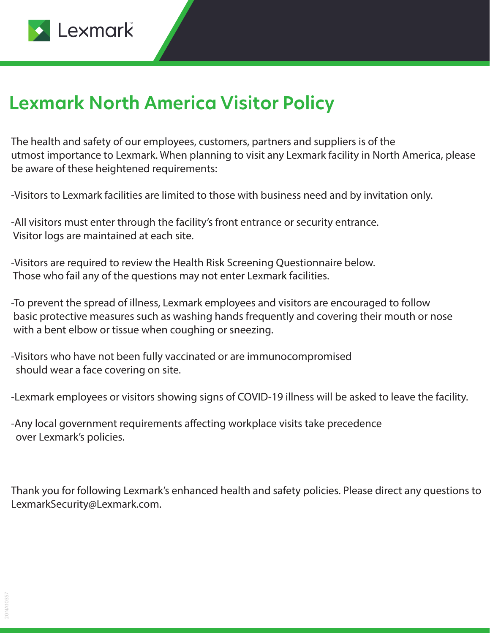

## **Lexmark North America Visitor Policy**

The health and safety of our employees, customers, partners and suppliers is of the utmost importance to Lexmark. When planning to visit any Lexmark facility in North America, please be aware of these heightened requirements:

-Visitors to Lexmark facilities are limited to those with business need and by invitation only.

-All visitors must enter through the facility's front entrance or security entrance. Visitor logs are maintained at each site.

-Visitors are required to review the Health Risk Screening Questionnaire below. Those who fail any of the questions may not enter Lexmark facilities.

**Protocols for meeting spaces**  basic protective measures such as washing hands frequently and covering their mouth or nose -To prevent the spread of illness, Lexmark employees and visitors are encouraged to follow with a bent elbow or tissue when coughing or sneezing.

-Visitors who have not been fully vaccinated or are immunocompromised should wear a face covering on site.

-Lexmark employees or visitors showing signs of COVID-19 illness will be asked to leave the facility.

-Any local government requirements affecting workplace visits take precedence over Lexmark's policies.

Thank you for following Lexmark's enhanced health and safety policies. Please direct any questions to LexmarkSecurity@Lexmark.com.